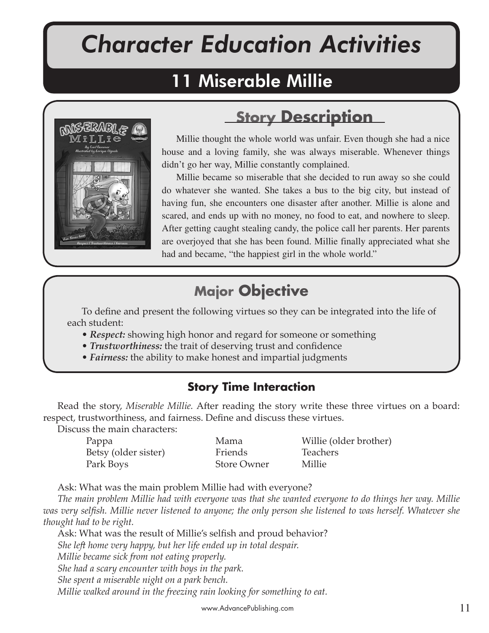# *Character Education Activities*

## 11 Miserable Millie



## **Story Description**

Millie thought the whole world was unfair. Even though she had a nice house and a loving family, she was always miserable. Whenever things didn't go her way, Millie constantly complained.

Millie became so miserable that she decided to run away so she could do whatever she wanted. She takes a bus to the big city, but instead of having fun, she encounters one disaster after another. Millie is alone and scared, and ends up with no money, no food to eat, and nowhere to sleep. After getting caught stealing candy, the police call her parents. Her parents are overjoyed that she has been found. Millie finally appreciated what she had and became, "the happiest girl in the whole world."

## **Major Objective**

To define and present the following virtues so they can be integrated into the life of each student:

- *Respect:* showing high honor and regard for someone or something
- *Trustworthiness:* the trait of deserving trust and confidence
- *Fairness:* the ability to make honest and impartial judgments

### **Story Time Interaction**

Read the story, *Miserable Millie*. After reading the story write these three virtues on a board: respect, trustworthiness, and fairness. Define and discuss these virtues.

Discuss the main characters:

| Pappa                | Mama               | Willie (older brother) |
|----------------------|--------------------|------------------------|
| Betsy (older sister) | Friends            | <b>Teachers</b>        |
| Park Boys            | <b>Store Owner</b> | Millie                 |

Ask: What was the main problem Millie had with everyone?

*The main problem Millie had with everyone was that she wanted everyone to do things her way. Millie was very selfish. Millie never listened to anyone; the only person she listened to was herself. Whatever she thought had to be right.* 

Ask: What was the result of Millie's selfish and proud behavior? *She left home very happy, but her life ended up in total despair. Millie became sick from not eating properly. She had a scary encounter with boys in the park. She spent a miserable night on a park bench. Millie walked around in the freezing rain looking for something to eat.*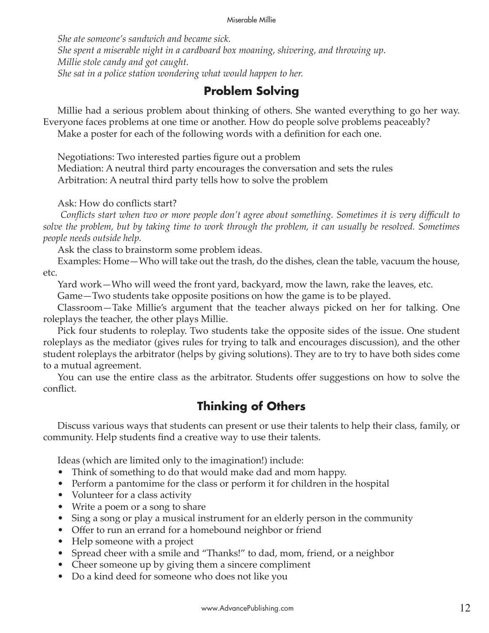#### Miserable Millie

*She ate someone's sandwich and became sick. She spent a miserable night in a cardboard box moaning, shivering, and throwing up. Millie stole candy and got caught. She sat in a police station wondering what would happen to her.*

### **Problem Solving**

Millie had a serious problem about thinking of others. She wanted everything to go her way. Everyone faces problems at one time or another. How do people solve problems peaceably? Make a poster for each of the following words with a definition for each one.

Negotiations: Two interested parties figure out a problem

Mediation: A neutral third party encourages the conversation and sets the rules Arbitration: A neutral third party tells how to solve the problem

Ask: How do conflicts start?

 *Conflicts start when two or more people don't agree about something. Sometimes it is very difficult to solve the problem, but by taking time to work through the problem, it can usually be resolved. Sometimes people needs outside help.* 

Ask the class to brainstorm some problem ideas.

Examples: Home—Who will take out the trash, do the dishes, clean the table, vacuum the house, etc.

Yard work—Who will weed the front yard, backyard, mow the lawn, rake the leaves, etc.

Game—Two students take opposite positions on how the game is to be played.

Classroom—Take Millie's argument that the teacher always picked on her for talking. One roleplays the teacher, the other plays Millie.

Pick four students to roleplay. Two students take the opposite sides of the issue. One student roleplays as the mediator (gives rules for trying to talk and encourages discussion), and the other student roleplays the arbitrator (helps by giving solutions). They are to try to have both sides come to a mutual agreement.

You can use the entire class as the arbitrator. Students offer suggestions on how to solve the conflict.

### **Thinking of Others**

Discuss various ways that students can present or use their talents to help their class, family, or community. Help students find a creative way to use their talents.

Ideas (which are limited only to the imagination!) include:

- Think of something to do that would make dad and mom happy.
- Perform a pantomime for the class or perform it for children in the hospital
- Volunteer for a class activity
- Write a poem or a song to share
- Sing a song or play a musical instrument for an elderly person in the community
- Offer to run an errand for a homebound neighbor or friend
- Help someone with a project
- Spread cheer with a smile and "Thanks!" to dad, mom, friend, or a neighbor
- Cheer someone up by giving them a sincere compliment
- Do a kind deed for someone who does not like you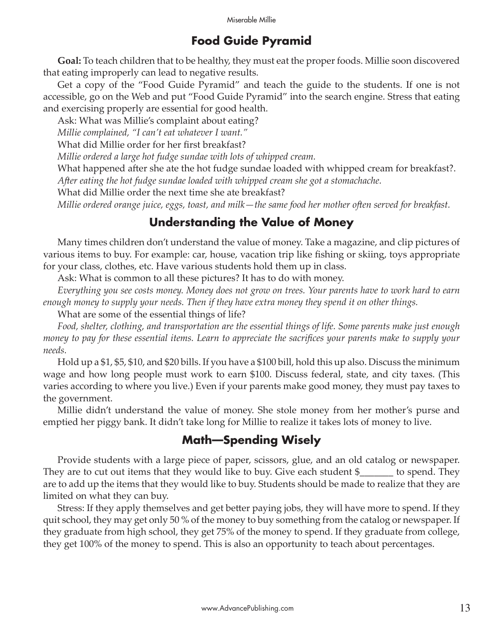#### **Food Guide Pyramid**

**Goal:** To teach children that to be healthy, they must eat the proper foods. Millie soon discovered that eating improperly can lead to negative results.

Get a copy of the "Food Guide Pyramid" and teach the guide to the students. If one is not accessible, go on the Web and put "Food Guide Pyramid" into the search engine. Stress that eating and exercising properly are essential for good health.

Ask: What was Millie's complaint about eating?

*Millie complained, "I can't eat whatever I want."*

What did Millie order for her first breakfast?

*Millie ordered a large hot fudge sundae with lots of whipped cream.*

What happened after she ate the hot fudge sundae loaded with whipped cream for breakfast?. *A�er eating the hot fudge sundae loaded with whipped cream she got a stomachache.* 

What did Millie order the next time she ate breakfast?

*Millie ordered orange juice, eggs, toast, and milk—the same food her mother o�en served for breakfast.*

#### **Understanding the Value of Money**

Many times children don't understand the value of money. Take a magazine, and clip pictures of various items to buy. For example: car, house, vacation trip like fishing or skiing, toys appropriate for your class, clothes, etc. Have various students hold them up in class.

Ask: What is common to all these pictures? It has to do with money.

*Everything you see costs money. Money does not grow on trees. Your parents have to work hard to earn enough money to supply your needs. Then if they have extra money they spend it on other things.*

What are some of the essential things of life?

*Food, shelter, clothing, and transportation are the essential things of life. Some parents make just enough money to pay for these essential items. Learn to appreciate the sacrifices your parents make to supply your needs.*

Hold up a \$1, \$5, \$10, and \$20 bills. If you have a \$100 bill, hold this up also. Discuss the minimum wage and how long people must work to earn \$100. Discuss federal, state, and city taxes. (This varies according to where you live.) Even if your parents make good money, they must pay taxes to the government.

Millie didn't understand the value of money. She stole money from her mother's purse and emptied her piggy bank. It didn't take long for Millie to realize it takes lots of money to live.

#### **Math—Spending Wisely**

Provide students with a large piece of paper, scissors, glue, and an old catalog or newspaper. They are to cut out items that they would like to buy. Give each student \$\_\_\_\_\_\_\_ to spend. They are to add up the items that they would like to buy. Students should be made to realize that they are limited on what they can buy.

Stress: If they apply themselves and get better paying jobs, they will have more to spend. If they quit school, they may get only 50 % of the money to buy something from the catalog or newspaper. If they graduate from high school, they get 75% of the money to spend. If they graduate from college, they get 100% of the money to spend. This is also an opportunity to teach about percentages.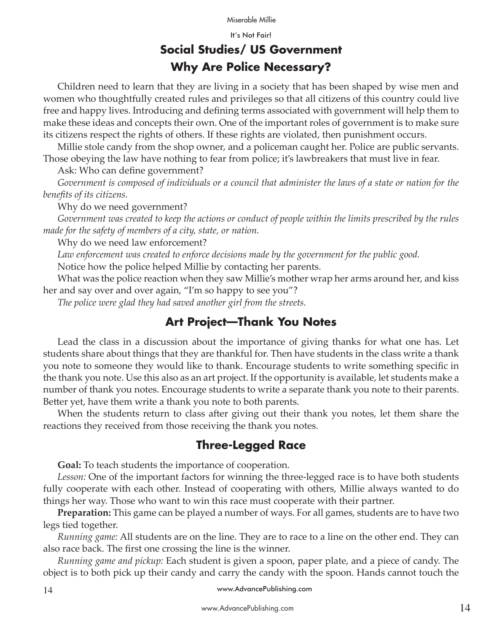#### Miserable Millie

It's Not Fair!

## **Social Studies/ US Government Why Are Police Necessary?**

Children need to learn that they are living in a society that has been shaped by wise men and women who thoughtfully created rules and privileges so that all citizens of this country could live free and happy lives. Introducing and defining terms associated with government will help them to make these ideas and concepts their own. One of the important roles of government is to make sure its citizens respect the rights of others. If these rights are violated, then punishment occurs.

Millie stole candy from the shop owner, and a policeman caught her. Police are public servants. Those obeying the law have nothing to fear from police; it's lawbreakers that must live in fear.

Ask: Who can define government?

*Government is composed of individuals or a council that administer the laws of a state or nation for the benefits of its citizens.*

Why do we need government?

*Government was created to keep the actions or conduct of people within the limits prescribed by the rules made for the safety of members of a city, state, or nation.*

Why do we need law enforcement?

*Law enforcement was created to enforce decisions made by the government for the public good.*

Notice how the police helped Millie by contacting her parents.

What was the police reaction when they saw Millie's mother wrap her arms around her, and kiss her and say over and over again, "I'm so happy to see you"?

*The police were glad they had saved another girl from the streets.*

#### **Art Project—Thank You Notes**

Lead the class in a discussion about the importance of giving thanks for what one has. Let students share about things that they are thankful for. Then have students in the class write a thank you note to someone they would like to thank. Encourage students to write something specific in the thank you note. Use this also as an art project. If the opportunity is available, let students make a number of thank you notes. Encourage students to write a separate thank you note to their parents. Better yet, have them write a thank you note to both parents.

When the students return to class after giving out their thank you notes, let them share the reactions they received from those receiving the thank you notes.

#### **Three-Legged Race**

**Goal:** To teach students the importance of cooperation.

*Lesson:* One of the important factors for winning the three-legged race is to have both students fully cooperate with each other. Instead of cooperating with others, Millie always wanted to do things her way. Those who want to win this race must cooperate with their partner.

**Preparation:** This game can be played a number of ways. For all games, students are to have two legs tied together.

*Running game:* All students are on the line. They are to race to a line on the other end. They can also race back. The first one crossing the line is the winner.

*Running game and pickup:* Each student is given a spoon, paper plate, and a piece of candy. The object is to both pick up their candy and carry the candy with the spoon. Hands cannot touch the